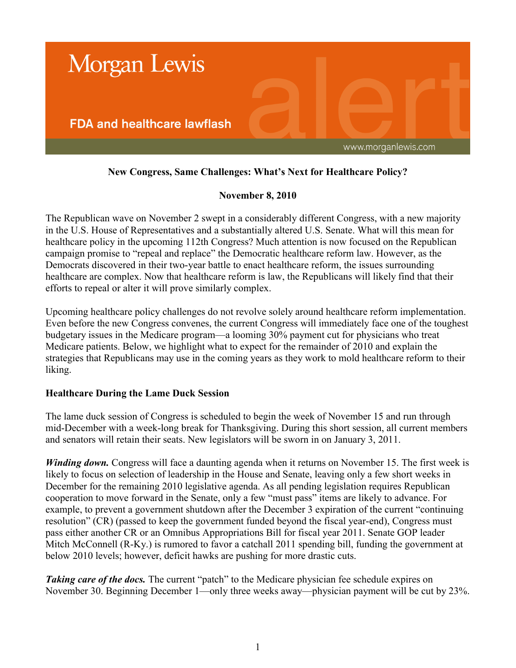

# **New Congress, Same Challenges: What's Next for Healthcare Policy?**

## **November 8, 2010**

The Republican wave on November 2 swept in a considerably different Congress, with a new majority in the U.S. House of Representatives and a substantially altered U.S. Senate. What will this mean for healthcare policy in the upcoming 112th Congress? Much attention is now focused on the Republican campaign promise to "repeal and replace" the Democratic healthcare reform law. However, as the Democrats discovered in their two-year battle to enact healthcare reform, the issues surrounding healthcare are complex. Now that healthcare reform is law, the Republicans will likely find that their efforts to repeal or alter it will prove similarly complex.

Upcoming healthcare policy challenges do not revolve solely around healthcare reform implementation. Even before the new Congress convenes, the current Congress will immediately face one of the toughest budgetary issues in the Medicare program—a looming 30% payment cut for physicians who treat Medicare patients. Below, we highlight what to expect for the remainder of 2010 and explain the strategies that Republicans may use in the coming years as they work to mold healthcare reform to their liking.

## **Healthcare During the Lame Duck Session**

The lame duck session of Congress is scheduled to begin the week of November 15 and run through mid-December with a week-long break for Thanksgiving. During this short session, all current members and senators will retain their seats. New legislators will be sworn in on January 3, 2011.

*Winding down.* Congress will face a daunting agenda when it returns on November 15. The first week is likely to focus on selection of leadership in the House and Senate, leaving only a few short weeks in December for the remaining 2010 legislative agenda. As all pending legislation requires Republican cooperation to move forward in the Senate, only a few "must pass" items are likely to advance. For example, to prevent a government shutdown after the December 3 expiration of the current "continuing resolution" (CR) (passed to keep the government funded beyond the fiscal year-end), Congress must pass either another CR or an Omnibus Appropriations Bill for fiscal year 2011. Senate GOP leader Mitch McConnell (R-Ky.) is rumored to favor a catchall 2011 spending bill, funding the government at below 2010 levels; however, deficit hawks are pushing for more drastic cuts.

**Taking care of the docs.** The current "patch" to the Medicare physician fee schedule expires on November 30. Beginning December 1—only three weeks away—physician payment will be cut by 23%.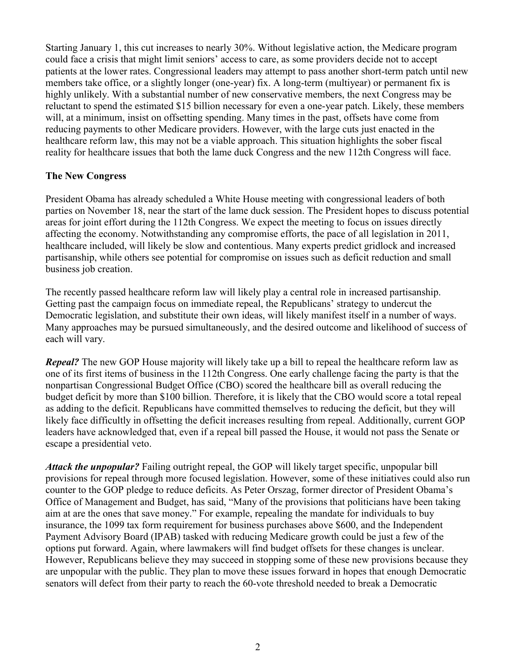Starting January 1, this cut increases to nearly 30%. Without legislative action, the Medicare program could face a crisis that might limit seniors' access to care, as some providers decide not to accept patients at the lower rates. Congressional leaders may attempt to pass another short-term patch until new members take office, or a slightly longer (one-year) fix. A long-term (multiyear) or permanent fix is highly unlikely. With a substantial number of new conservative members, the next Congress may be reluctant to spend the estimated \$15 billion necessary for even a one-year patch. Likely, these members will, at a minimum, insist on offsetting spending. Many times in the past, offsets have come from reducing payments to other Medicare providers. However, with the large cuts just enacted in the healthcare reform law, this may not be a viable approach. This situation highlights the sober fiscal reality for healthcare issues that both the lame duck Congress and the new 112th Congress will face.

#### **The New Congress**

President Obama has already scheduled a White House meeting with congressional leaders of both parties on November 18, near the start of the lame duck session. The President hopes to discuss potential areas for joint effort during the 112th Congress. We expect the meeting to focus on issues directly affecting the economy. Notwithstanding any compromise efforts, the pace of all legislation in 2011, healthcare included, will likely be slow and contentious. Many experts predict gridlock and increased partisanship, while others see potential for compromise on issues such as deficit reduction and small business job creation.

The recently passed healthcare reform law will likely play a central role in increased partisanship. Getting past the campaign focus on immediate repeal, the Republicans' strategy to undercut the Democratic legislation, and substitute their own ideas, will likely manifest itself in a number of ways. Many approaches may be pursued simultaneously, and the desired outcome and likelihood of success of each will vary.

*Repeal?* The new GOP House majority will likely take up a bill to repeal the healthcare reform law as one of its first items of business in the 112th Congress. One early challenge facing the party is that the nonpartisan Congressional Budget Office (CBO) scored the healthcare bill as overall reducing the budget deficit by more than \$100 billion. Therefore, it is likely that the CBO would score a total repeal as adding to the deficit. Republicans have committed themselves to reducing the deficit, but they will likely face difficultly in offsetting the deficit increases resulting from repeal. Additionally, current GOP leaders have acknowledged that, even if a repeal bill passed the House, it would not pass the Senate or escape a presidential veto.

*Attack the unpopular?* Failing outright repeal, the GOP will likely target specific, unpopular bill provisions for repeal through more focused legislation. However, some of these initiatives could also run counter to the GOP pledge to reduce deficits. As Peter Orszag, former director of President Obama's Office of Management and Budget, has said, "Many of the provisions that politicians have been taking aim at are the ones that save money." For example, repealing the mandate for individuals to buy insurance, the 1099 tax form requirement for business purchases above \$600, and the Independent Payment Advisory Board (IPAB) tasked with reducing Medicare growth could be just a few of the options put forward. Again, where lawmakers will find budget offsets for these changes is unclear. However, Republicans believe they may succeed in stopping some of these new provisions because they are unpopular with the public. They plan to move these issues forward in hopes that enough Democratic senators will defect from their party to reach the 60-vote threshold needed to break a Democratic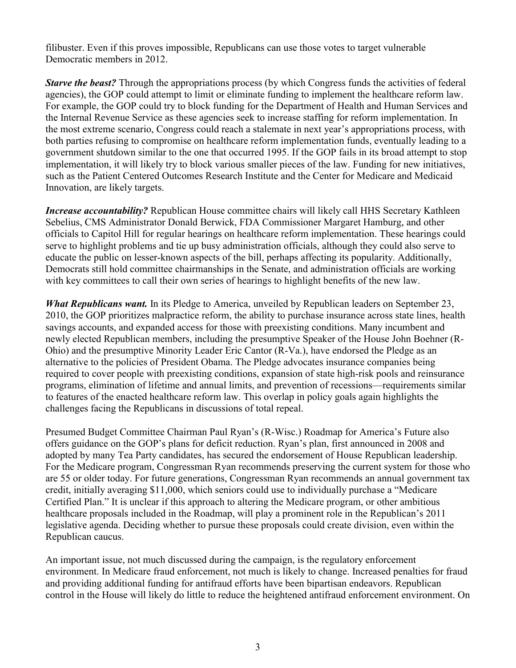filibuster. Even if this proves impossible, Republicans can use those votes to target vulnerable Democratic members in 2012.

*Starve the beast?* Through the appropriations process (by which Congress funds the activities of federal agencies), the GOP could attempt to limit or eliminate funding to implement the healthcare reform law. For example, the GOP could try to block funding for the Department of Health and Human Services and the Internal Revenue Service as these agencies seek to increase staffing for reform implementation. In the most extreme scenario, Congress could reach a stalemate in next year's appropriations process, with both parties refusing to compromise on healthcare reform implementation funds, eventually leading to a government shutdown similar to the one that occurred 1995. If the GOP fails in its broad attempt to stop implementation, it will likely try to block various smaller pieces of the law. Funding for new initiatives, such as the Patient Centered Outcomes Research Institute and the Center for Medicare and Medicaid Innovation, are likely targets.

*Increase accountability?* Republican House committee chairs will likely call HHS Secretary Kathleen Sebelius, CMS Administrator Donald Berwick, FDA Commissioner Margaret Hamburg, and other officials to Capitol Hill for regular hearings on healthcare reform implementation. These hearings could serve to highlight problems and tie up busy administration officials, although they could also serve to educate the public on lesser-known aspects of the bill, perhaps affecting its popularity. Additionally, Democrats still hold committee chairmanships in the Senate, and administration officials are working with key committees to call their own series of hearings to highlight benefits of the new law.

*What Republicans want.* In its Pledge to America, unveiled by Republican leaders on September 23, 2010, the GOP prioritizes malpractice reform, the ability to purchase insurance across state lines, health savings accounts, and expanded access for those with preexisting conditions. Many incumbent and newly elected Republican members, including the presumptive Speaker of the House John Boehner (R-Ohio) and the presumptive Minority Leader Eric Cantor (R-Va.), have endorsed the Pledge as an alternative to the policies of President Obama. The Pledge advocates insurance companies being required to cover people with preexisting conditions, expansion of state high-risk pools and reinsurance programs, elimination of lifetime and annual limits, and prevention of recessions—requirements similar to features of the enacted healthcare reform law. This overlap in policy goals again highlights the challenges facing the Republicans in discussions of total repeal.

Presumed Budget Committee Chairman Paul Ryan's (R-Wisc.) Roadmap for America's Future also offers guidance on the GOP's plans for deficit reduction. Ryan's plan, first announced in 2008 and adopted by many Tea Party candidates, has secured the endorsement of House Republican leadership. For the Medicare program, Congressman Ryan recommends preserving the current system for those who are 55 or older today. For future generations, Congressman Ryan recommends an annual government tax credit, initially averaging \$11,000, which seniors could use to individually purchase a "Medicare Certified Plan." It is unclear if this approach to altering the Medicare program, or other ambitious healthcare proposals included in the Roadmap, will play a prominent role in the Republican's 2011 legislative agenda. Deciding whether to pursue these proposals could create division, even within the Republican caucus.

An important issue, not much discussed during the campaign, is the regulatory enforcement environment. In Medicare fraud enforcement, not much is likely to change. Increased penalties for fraud and providing additional funding for antifraud efforts have been bipartisan endeavors. Republican control in the House will likely do little to reduce the heightened antifraud enforcement environment. On